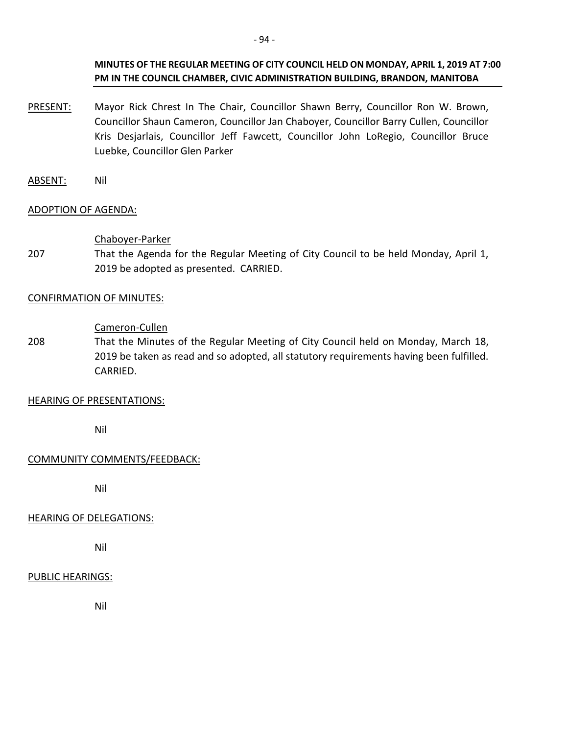## **MINUTES OF THE REGULAR MEETING OF CITY COUNCIL HELD ON MONDAY, APRIL 1, 2019 AT 7:00 PM IN THE COUNCIL CHAMBER, CIVIC ADMINISTRATION BUILDING, BRANDON, MANITOBA**

- PRESENT: Mayor Rick Chrest In The Chair, Councillor Shawn Berry, Councillor Ron W. Brown, Councillor Shaun Cameron, Councillor Jan Chaboyer, Councillor Barry Cullen, Councillor Kris Desjarlais, Councillor Jeff Fawcett, Councillor John LoRegio, Councillor Bruce Luebke, Councillor Glen Parker
- ABSENT: Nil

## ADOPTION OF AGENDA:

#### Chaboyer-Parker

207 That the Agenda for the Regular Meeting of City Council to be held Monday, April 1, 2019 be adopted as presented. CARRIED.

#### CONFIRMATION OF MINUTES:

#### Cameron-Cullen

208 That the Minutes of the Regular Meeting of City Council held on Monday, March 18, 2019 be taken as read and so adopted, all statutory requirements having been fulfilled. CARRIED.

## HEARING OF PRESENTATIONS:

Nil

## COMMUNITY COMMENTS/FEEDBACK:

Nil

## HEARING OF DELEGATIONS:

Nil

## PUBLIC HEARINGS:

Nil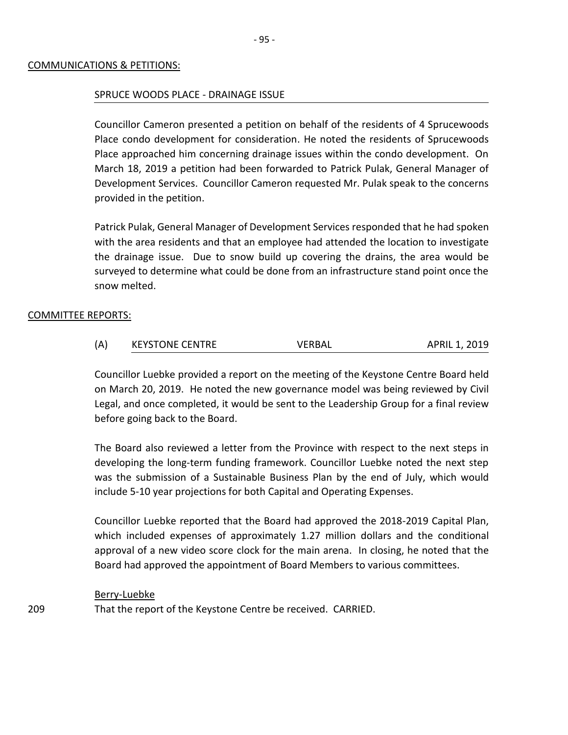#### COMMUNICATIONS & PETITIONS:

#### SPRUCE WOODS PLACE - DRAINAGE ISSUE

Councillor Cameron presented a petition on behalf of the residents of 4 Sprucewoods Place condo development for consideration. He noted the residents of Sprucewoods Place approached him concerning drainage issues within the condo development. On March 18, 2019 a petition had been forwarded to Patrick Pulak, General Manager of Development Services. Councillor Cameron requested Mr. Pulak speak to the concerns provided in the petition.

Patrick Pulak, General Manager of Development Services responded that he had spoken with the area residents and that an employee had attended the location to investigate the drainage issue. Due to snow build up covering the drains, the area would be surveyed to determine what could be done from an infrastructure stand point once the snow melted.

#### COMMITTEE REPORTS:

| (A) | <b>KEYSTONE CENTRE</b> | <b>VERBAL</b> | APRIL 1, 2019 |
|-----|------------------------|---------------|---------------|
|-----|------------------------|---------------|---------------|

Councillor Luebke provided a report on the meeting of the Keystone Centre Board held on March 20, 2019. He noted the new governance model was being reviewed by Civil Legal, and once completed, it would be sent to the Leadership Group for a final review before going back to the Board.

The Board also reviewed a letter from the Province with respect to the next steps in developing the long-term funding framework. Councillor Luebke noted the next step was the submission of a Sustainable Business Plan by the end of July, which would include 5-10 year projections for both Capital and Operating Expenses.

Councillor Luebke reported that the Board had approved the 2018-2019 Capital Plan, which included expenses of approximately 1.27 million dollars and the conditional approval of a new video score clock for the main arena. In closing, he noted that the Board had approved the appointment of Board Members to various committees.

#### Berry-Luebke

That the report of the Keystone Centre be received. CARRIED.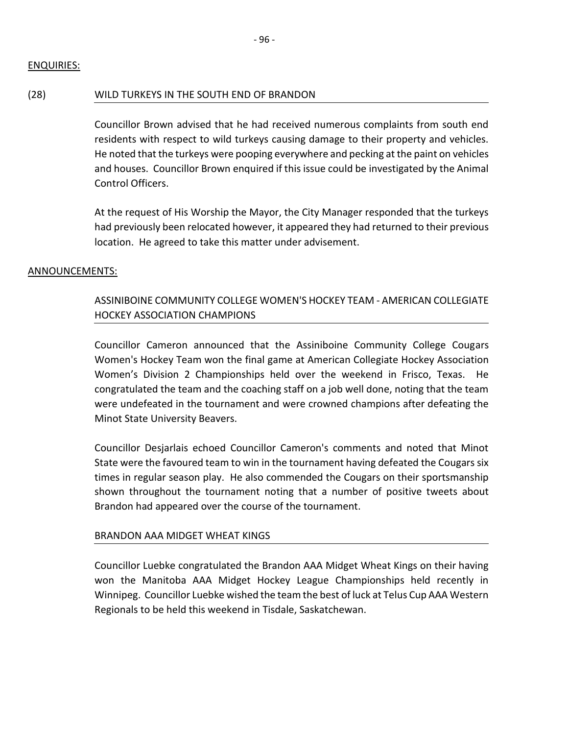# (28) WILD TURKEYS IN THE SOUTH END OF BRANDON

Councillor Brown advised that he had received numerous complaints from south end residents with respect to wild turkeys causing damage to their property and vehicles. He noted that the turkeys were pooping everywhere and pecking at the paint on vehicles and houses. Councillor Brown enquired if this issue could be investigated by the Animal Control Officers.

At the request of His Worship the Mayor, the City Manager responded that the turkeys had previously been relocated however, it appeared they had returned to their previous location. He agreed to take this matter under advisement.

# ANNOUNCEMENTS:

# ASSINIBOINE COMMUNITY COLLEGE WOMEN'S HOCKEY TEAM - AMERICAN COLLEGIATE HOCKEY ASSOCIATION CHAMPIONS

Councillor Cameron announced that the Assiniboine Community College Cougars Women's Hockey Team won the final game at American Collegiate Hockey Association Women's Division 2 Championships held over the weekend in Frisco, Texas. He congratulated the team and the coaching staff on a job well done, noting that the team were undefeated in the tournament and were crowned champions after defeating the Minot State University Beavers.

Councillor Desjarlais echoed Councillor Cameron's comments and noted that Minot State were the favoured team to win in the tournament having defeated the Cougars six times in regular season play. He also commended the Cougars on their sportsmanship shown throughout the tournament noting that a number of positive tweets about Brandon had appeared over the course of the tournament.

# BRANDON AAA MIDGET WHEAT KINGS

Councillor Luebke congratulated the Brandon AAA Midget Wheat Kings on their having won the Manitoba AAA Midget Hockey League Championships held recently in Winnipeg. Councillor Luebke wished the team the best of luck at Telus Cup AAA Western Regionals to be held this weekend in Tisdale, Saskatchewan.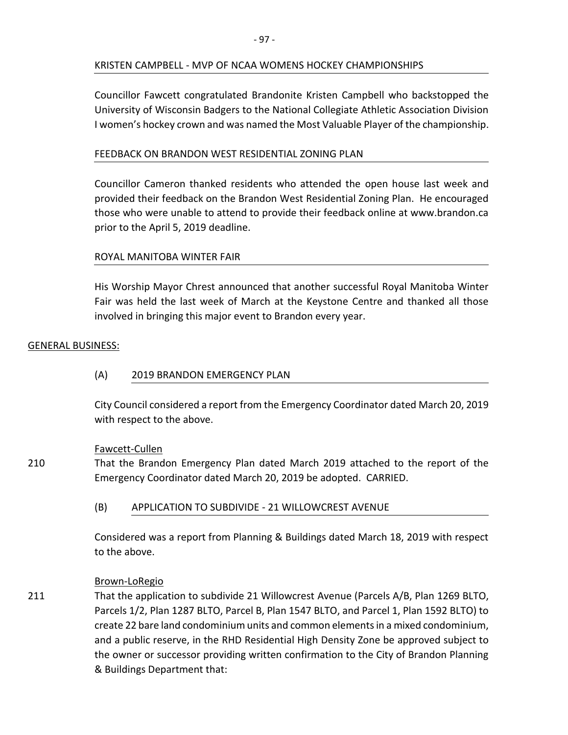## KRISTEN CAMPBELL - MVP OF NCAA WOMENS HOCKEY CHAMPIONSHIPS

Councillor Fawcett congratulated Brandonite Kristen Campbell who backstopped the University of Wisconsin Badgers to the National Collegiate Athletic Association Division I women's hockey crown and was named the Most Valuable Player of the championship.

## FEEDBACK ON BRANDON WEST RESIDENTIAL ZONING PLAN

Councillor Cameron thanked residents who attended the open house last week and provided their feedback on the Brandon West Residential Zoning Plan. He encouraged those who were unable to attend to provide their feedback online at www.brandon.ca prior to the April 5, 2019 deadline.

## ROYAL MANITOBA WINTER FAIR

His Worship Mayor Chrest announced that another successful Royal Manitoba Winter Fair was held the last week of March at the Keystone Centre and thanked all those involved in bringing this major event to Brandon every year.

## GENERAL BUSINESS:

## (A) 2019 BRANDON EMERGENCY PLAN

City Council considered a report from the Emergency Coordinator dated March 20, 2019 with respect to the above.

## Fawcett-Cullen

210 That the Brandon Emergency Plan dated March 2019 attached to the report of the Emergency Coordinator dated March 20, 2019 be adopted. CARRIED.

(B) APPLICATION TO SUBDIVIDE - 21 WILLOWCREST AVENUE

Considered was a report from Planning & Buildings dated March 18, 2019 with respect to the above.

## Brown-LoRegio

211 That the application to subdivide 21 Willowcrest Avenue (Parcels A/B, Plan 1269 BLTO, Parcels 1/2, Plan 1287 BLTO, Parcel B, Plan 1547 BLTO, and Parcel 1, Plan 1592 BLTO) to create 22 bare land condominium units and common elements in a mixed condominium, and a public reserve, in the RHD Residential High Density Zone be approved subject to the owner or successor providing written confirmation to the City of Brandon Planning & Buildings Department that: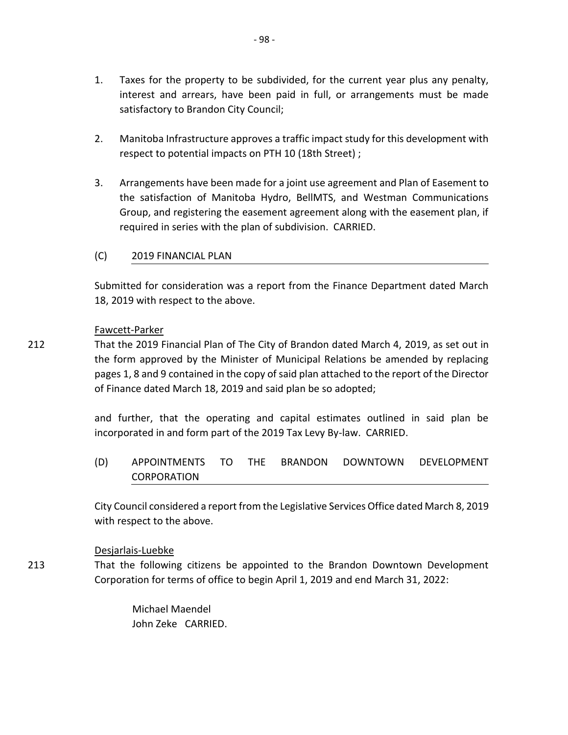- 1. Taxes for the property to be subdivided, for the current year plus any penalty, interest and arrears, have been paid in full, or arrangements must be made satisfactory to Brandon City Council;
- 2. Manitoba Infrastructure approves a traffic impact study for this development with respect to potential impacts on PTH 10 (18th Street) ;
- 3. Arrangements have been made for a joint use agreement and Plan of Easement to the satisfaction of Manitoba Hydro, BellMTS, and Westman Communications Group, and registering the easement agreement along with the easement plan, if required in series with the plan of subdivision. CARRIED.
- (C) 2019 FINANCIAL PLAN

Submitted for consideration was a report from the Finance Department dated March 18, 2019 with respect to the above.

#### Fawcett-Parker

212 That the 2019 Financial Plan of The City of Brandon dated March 4, 2019, as set out in the form approved by the Minister of Municipal Relations be amended by replacing pages 1, 8 and 9 contained in the copy of said plan attached to the report of the Director of Finance dated March 18, 2019 and said plan be so adopted;

> and further, that the operating and capital estimates outlined in said plan be incorporated in and form part of the 2019 Tax Levy By-law. CARRIED.

> (D) APPOINTMENTS TO THE BRANDON DOWNTOWN DEVELOPMENT CORPORATION

> City Council considered a report from the Legislative Services Office dated March 8, 2019 with respect to the above.

## Desjarlais-Luebke

213 That the following citizens be appointed to the Brandon Downtown Development Corporation for terms of office to begin April 1, 2019 and end March 31, 2022:

> Michael Maendel John Zeke CARRIED.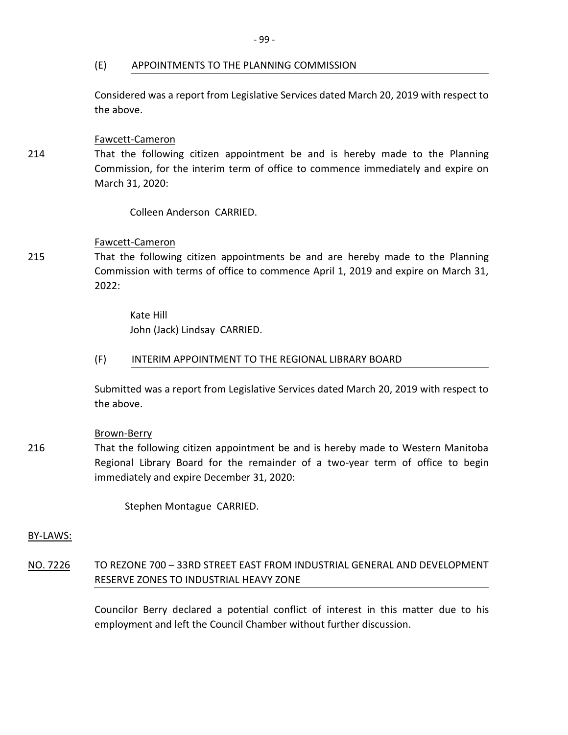#### (E) APPOINTMENTS TO THE PLANNING COMMISSION

Considered was a report from Legislative Services dated March 20, 2019 with respect to the above.

#### Fawcett-Cameron

That the following citizen appointment be and is hereby made to the Planning Commission, for the interim term of office to commence immediately and expire on March 31, 2020:

Colleen Anderson CARRIED.

## Fawcett-Cameron

215 That the following citizen appointments be and are hereby made to the Planning Commission with terms of office to commence April 1, 2019 and expire on March 31, 2022:

> Kate Hill John (Jack) Lindsay CARRIED.

#### (F) INTERIM APPOINTMENT TO THE REGIONAL LIBRARY BOARD

Submitted was a report from Legislative Services dated March 20, 2019 with respect to the above.

## Brown-Berry

216 That the following citizen appointment be and is hereby made to Western Manitoba Regional Library Board for the remainder of a two-year term of office to begin immediately and expire December 31, 2020:

Stephen Montague CARRIED.

BY-LAWS:

NO. 7226 TO REZONE 700 – 33RD STREET EAST FROM INDUSTRIAL GENERAL AND DEVELOPMENT RESERVE ZONES TO INDUSTRIAL HEAVY ZONE

> Councilor Berry declared a potential conflict of interest in this matter due to his employment and left the Council Chamber without further discussion.

214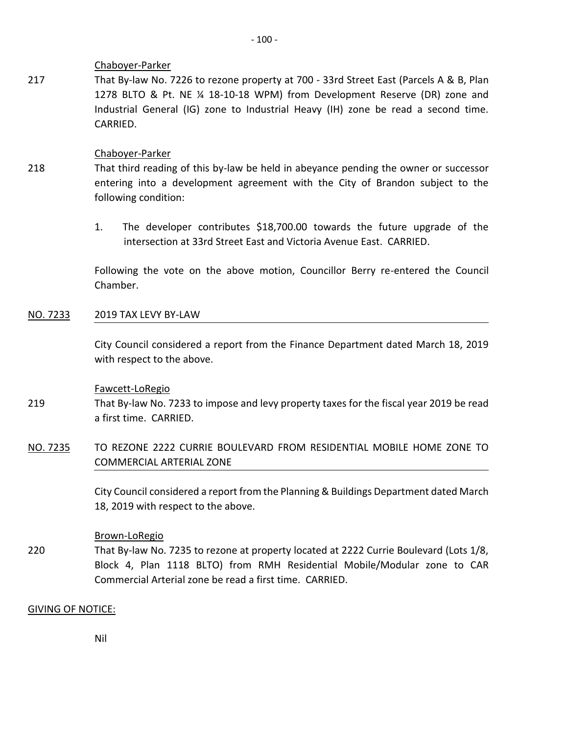## Chaboyer-Parker

217 That By-law No. 7226 to rezone property at 700 - 33rd Street East (Parcels A & B, Plan 1278 BLTO & Pt. NE ¼ 18-10-18 WPM) from Development Reserve (DR) zone and Industrial General (IG) zone to Industrial Heavy (IH) zone be read a second time. CARRIED.

## Chaboyer-Parker

- 218 That third reading of this by-law be held in abeyance pending the owner or successor entering into a development agreement with the City of Brandon subject to the following condition:
	- 1. The developer contributes \$18,700.00 towards the future upgrade of the intersection at 33rd Street East and Victoria Avenue East. CARRIED.

Following the vote on the above motion, Councillor Berry re-entered the Council Chamber.

## NO. 7233 2019 TAX LEVY BY-LAW

City Council considered a report from the Finance Department dated March 18, 2019 with respect to the above.

## Fawcett-LoRegio

- 219 That By-law No. 7233 to impose and levy property taxes for the fiscal year 2019 be read a first time. CARRIED.
- NO. 7235 TO REZONE 2222 CURRIE BOULEVARD FROM RESIDENTIAL MOBILE HOME ZONE TO COMMERCIAL ARTERIAL ZONE

City Council considered a report from the Planning & Buildings Department dated March 18, 2019 with respect to the above.

## Brown-LoRegio

220 That By-law No. 7235 to rezone at property located at 2222 Currie Boulevard (Lots 1/8, Block 4, Plan 1118 BLTO) from RMH Residential Mobile/Modular zone to CAR Commercial Arterial zone be read a first time. CARRIED.

## GIVING OF NOTICE:

Nil